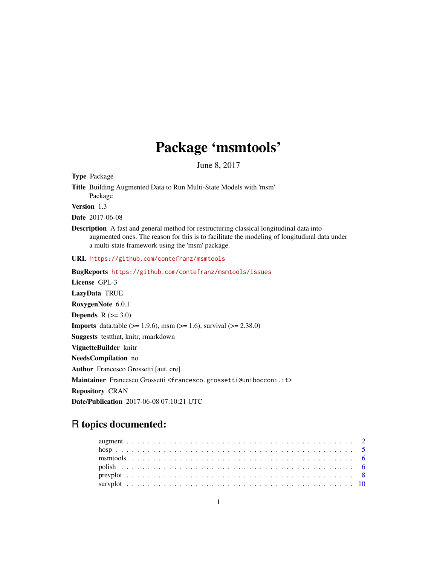# Package 'msmtools'

June 8, 2017

<span id="page-0-0"></span>Type Package

Title Building Augmented Data to Run Multi-State Models with 'msm' Package

Version 1.3

Date 2017-06-08

Description A fast and general method for restructuring classical longitudinal data into augmented ones. The reason for this is to facilitate the modeling of longitudinal data under a multi-state framework using the 'msm' package.

URL <https://github.com/contefranz/msmtools>

BugReports <https://github.com/contefranz/msmtools/issues> License GPL-3 LazyData TRUE RoxygenNote 6.0.1 Depends  $R$  ( $>=$  3.0) **Imports** data.table ( $>= 1.9.6$ ), msm ( $>= 1.6$ ), survival ( $>= 2.38.0$ ) Suggests testthat, knitr, rmarkdown VignetteBuilder knitr NeedsCompilation no Author Francesco Grossetti [aut, cre] Maintainer Francesco Grossetti <francesco.grossetti@unibocconi.it> Repository CRAN Date/Publication 2017-06-08 07:10:21 UTC

# R topics documented: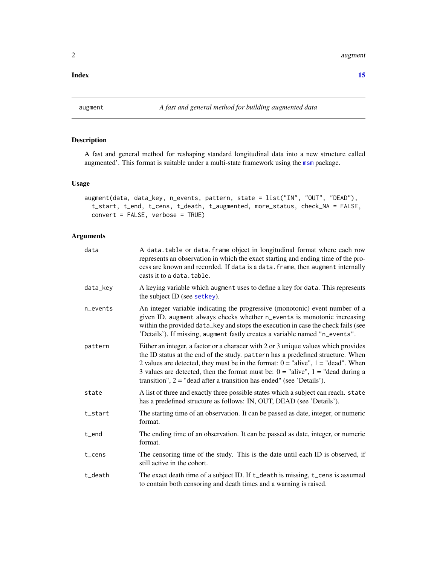#### <span id="page-1-0"></span>**Index** [15](#page-14-0)

<span id="page-1-1"></span>

# Description

A fast and general method for reshaping standard longitudinal data into a new structure called augmented'. This format is suitable under a multi-state framework using the [msm](#page-0-0) package.

# Usage

```
augment(data, data_key, n_events, pattern, state = list("IN", "OUT", "DEAD"),
 t_start, t_end, t_cens, t_death, t_augmented, more_status, check_NA = FALSE,
 convert = FALSE, verbose = TRUE)
```
# Arguments

| data                  | A data.table or data.frame object in longitudinal format where each row<br>represents an observation in which the exact starting and ending time of the pro-<br>cess are known and recorded. If data is a data. frame, then augment internally<br>casts it to a data. table.                                                                                                                                                    |
|-----------------------|---------------------------------------------------------------------------------------------------------------------------------------------------------------------------------------------------------------------------------------------------------------------------------------------------------------------------------------------------------------------------------------------------------------------------------|
| data_key              | A keying variable which augment uses to define a key for data. This represents<br>the subject ID (see setkey).                                                                                                                                                                                                                                                                                                                  |
| n_events              | An integer variable indicating the progressive (monotonic) event number of a<br>given ID. augment always checks whether n_events is monotonic increasing<br>within the provided data_key and stops the execution in case the check fails (see<br>'Details'). If missing, augment fastly creates a variable named "n_events".                                                                                                    |
| pattern               | Either an integer, a factor or a characer with 2 or 3 unique values which provides<br>the ID status at the end of the study. pattern has a predefined structure. When<br>2 values are detected, they must be in the format: $0 =$ "alive", $1 =$ "dead". When<br>3 values are detected, then the format must be: $0 =$ "alive", $1 =$ "dead during a<br>transition", $2 =$ "dead after a transition has ended" (see 'Details'). |
| state                 | A list of three and exactly three possible states which a subject can reach. state<br>has a predefined structure as follows: IN, OUT, DEAD (see 'Details').                                                                                                                                                                                                                                                                     |
| t_start               | The starting time of an observation. It can be passed as date, integer, or numeric<br>format.                                                                                                                                                                                                                                                                                                                                   |
| t_end                 | The ending time of an observation. It can be passed as date, integer, or numeric<br>format.                                                                                                                                                                                                                                                                                                                                     |
| $t$ <sub>_</sub> cens | The censoring time of the study. This is the date until each ID is observed, if<br>still active in the cohort.                                                                                                                                                                                                                                                                                                                  |
| t_death               | The exact death time of a subject ID. If t_death is missing, t_cens is assumed<br>to contain both censoring and death times and a warning is raised.                                                                                                                                                                                                                                                                            |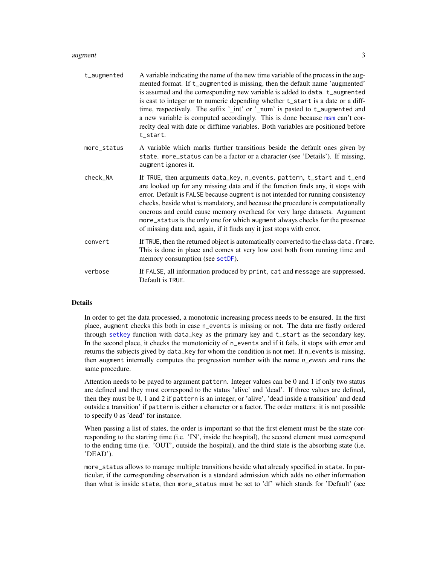#### <span id="page-2-0"></span>augment 3

| t_augmented | A variable indicating the name of the new time variable of the process in the aug-<br>mented format. If t_augmented is missing, then the default name 'augmented'<br>is assumed and the corresponding new variable is added to data. t_augmented<br>is cast to integer or to numeric depending whether t_start is a date or a diff-<br>time, respectively. The suffix '_int' or '_num' is pasted to t_augmented and<br>a new variable is computed accordingly. This is done because msm can't cor-<br>reclty deal with date or difftime variables. Both variables are positioned before<br>t_start. |
|-------------|-----------------------------------------------------------------------------------------------------------------------------------------------------------------------------------------------------------------------------------------------------------------------------------------------------------------------------------------------------------------------------------------------------------------------------------------------------------------------------------------------------------------------------------------------------------------------------------------------------|
| more_status | A variable which marks further transitions beside the default ones given by<br>state. more_status can be a factor or a character (see 'Details'). If missing,<br>augment ignores it.                                                                                                                                                                                                                                                                                                                                                                                                                |
| check_NA    | If TRUE, then arguments data_key, n_events, pattern, t_start and t_end<br>are looked up for any missing data and if the function finds any, it stops with<br>error. Default is FALSE because augment is not intended for running consistency<br>checks, beside what is mandatory, and because the procedure is computationally<br>onerous and could cause memory overhead for very large datasets. Argument<br>more_status is the only one for which augment always checks for the presence<br>of missing data and, again, if it finds any it just stops with error.                                |
| convert     | If TRUE, then the returned object is automatically converted to the class data. frame.<br>This is done in place and comes at very low cost both from running time and<br>memory consumption (see setDF).                                                                                                                                                                                                                                                                                                                                                                                            |
| verbose     | If FALSE, all information produced by print, cat and message are suppressed.<br>Default is TRUE.                                                                                                                                                                                                                                                                                                                                                                                                                                                                                                    |

# Details

In order to get the data processed, a monotonic increasing process needs to be ensured. In the first place, augment checks this both in case n\_events is missing or not. The data are fastly ordered through [setkey](#page-0-0) function with data\_key as the primary key and t\_start as the secondary key. In the second place, it checks the monotonicity of n\_events and if it fails, it stops with error and returns the subjects gived by data\_key for whom the condition is not met. If n\_events is missing, then augment internally computes the progression number with the name *n\_events* and runs the same procedure.

Attention needs to be payed to argument pattern. Integer values can be 0 and 1 if only two status are defined and they must correspond to the status 'alive' and 'dead'. If three values are defined, then they must be 0, 1 and 2 if pattern is an integer, or 'alive', 'dead inside a transition' and dead outside a transition' if pattern is either a character or a factor. The order matters: it is not possible to specify 0 as 'dead' for instance.

When passing a list of states, the order is important so that the first element must be the state corresponding to the starting time (i.e. 'IN', inside the hospital), the second element must correspond to the ending time (i.e. 'OUT', outside the hospital), and the third state is the absorbing state (i.e. 'DEAD').

more\_status allows to manage multiple transitions beside what already specified in state. In particular, if the corresponding observation is a standard admission which adds no other information than what is inside state, then more\_status must be set to 'df' which stands for 'Default' (see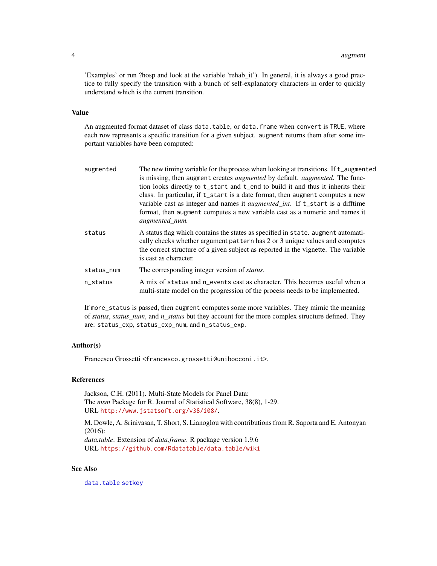#### <span id="page-3-0"></span>**4** augment **4** augment **6** augment **6** augment **6** augment **6** augment **6** augment **6**

'Examples' or run ?hosp and look at the variable 'rehab\_it'). In general, it is always a good practice to fully specify the transition with a bunch of self-explanatory characters in order to quickly understand which is the current transition.

#### Value

An augmented format dataset of class data.table, or data.frame when convert is TRUE, where each row represents a specific transition for a given subject. augment returns them after some important variables have been computed:

| augmented  | The new timing variable for the process when looking at transitions. If t_augmented<br>is missing, then augment creates <i>augmented</i> by default. <i>augmented</i> . The func-<br>tion looks directly to t_start and t_end to build it and thus it inherits their<br>class. In particular, if t_start is a date format, then augment computes a new<br>variable cast as integer and names it <i>augmented_int</i> . If t_start is a difftime<br>format, then augment computes a new variable cast as a numeric and names it<br>augmented_num. |
|------------|--------------------------------------------------------------------------------------------------------------------------------------------------------------------------------------------------------------------------------------------------------------------------------------------------------------------------------------------------------------------------------------------------------------------------------------------------------------------------------------------------------------------------------------------------|
| status     | A status flag which contains the states as specified in state. augment automati-<br>cally checks whether argument pattern has 2 or 3 unique values and computes<br>the correct structure of a given subject as reported in the vignette. The variable<br>is cast as character.                                                                                                                                                                                                                                                                   |
| status_num | The corresponding integer version of <i>status</i> .                                                                                                                                                                                                                                                                                                                                                                                                                                                                                             |
| n_status   | A mix of status and n_events cast as character. This becomes useful when a<br>multi-state model on the progression of the process needs to be implemented.                                                                                                                                                                                                                                                                                                                                                                                       |

If more\_status is passed, then augment computes some more variables. They mimic the meaning of *status*, *status\_num*, and *n\_status* but they account for the more complex structure defined. They are: status\_exp, status\_exp\_num, and n\_status\_exp.

# Author(s)

Francesco Grossetti <francesco.grossetti@unibocconi.it>.

# References

Jackson, C.H. (2011). Multi-State Models for Panel Data: The *msm* Package for R. Journal of Statistical Software, 38(8), 1-29. URL <http://www.jstatsoft.org/v38/i08/>.

M. Dowle, A. Srinivasan, T. Short, S. Lianoglou with contributions from R. Saporta and E. Antonyan (2016):

*data.table*: Extension of *data.frame*. R package version 1.9.6 URL <https://github.com/Rdatatable/data.table/wiki>

# See Also

[data.table](#page-0-0) [setkey](#page-0-0)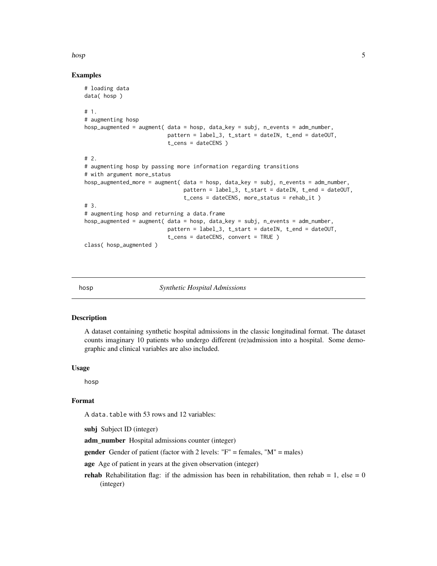#### <span id="page-4-0"></span>hosp 55 and 55 and 55 and 55 and 55 and 55 and 55 and 55 and 55 and 55 and 55 and 55 and 55 and 55 and 55 and 55 and 55 and 55 and 55 and 55 and 55 and 55 and 55 and 55 and 55 and 55 and 55 and 55 and 55 and 55 and 55 and

# Examples

```
# loading data
data( hosp )
# 1.
# augmenting hosp
hosp_augmented = augment( data = hosp, data_key = subj, n_events = adm_number,
                          pattern = label_3, t_start = dateIN, t_end = dateOUT,
                          t_cens = dateCENS )
# 2.
# augmenting hosp by passing more information regarding transitions
# with argument more_status
hosp_augmented_more = augment( data = hosp, data_key = subj, n_events = adm_number,
                               pattern = label_3, t_start = dateIN, t_end = dateOUT,
                               t_cens = dateCENS, more_status = rehab_it )
# 3.
# augmenting hosp and returning a data.frame
hosp_augmented = augment( data = hosp, data_key = subj, n_events = adm_number,
                          pattern = label_3, t_start = dateIN, t_end = dateOUT,
                          t_cens = dateCENS, convert = TRUE )
class( hosp_augmented )
```
hosp *Synthetic Hospital Admissions*

# Description

A dataset containing synthetic hospital admissions in the classic longitudinal format. The dataset counts imaginary 10 patients who undergo different (re)admission into a hospital. Some demographic and clinical variables are also included.

# Usage

hosp

# Format

A data.table with 53 rows and 12 variables:

subj Subject ID (integer)

adm\_number Hospital admissions counter (integer)

**gender** Gender of patient (factor with 2 levels: " $F'' =$  females, " $M'' =$  males)

age Age of patient in years at the given observation (integer)

**rehab** Rehabilitation flag: if the admission has been in rehabilitation, then rehab  $= 1$ , else  $= 0$ (integer)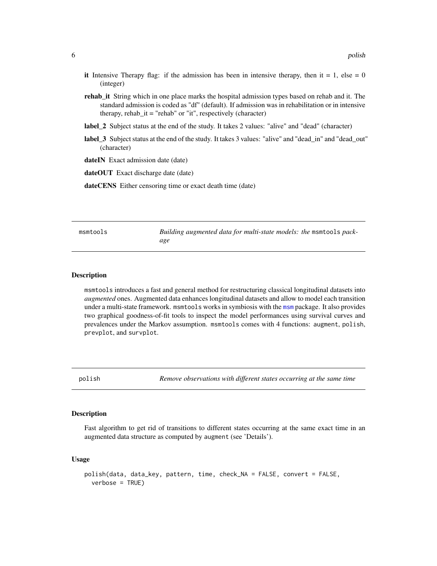<span id="page-5-0"></span>

|           |  | it Intensive Therapy flag: if the admission has been in intensive therapy, then it = 1, else = 0 |  |  |  |  |  |
|-----------|--|--------------------------------------------------------------------------------------------------|--|--|--|--|--|
| (integer) |  |                                                                                                  |  |  |  |  |  |

rehab\_it String which in one place marks the hospital admission types based on rehab and it. The standard admission is coded as "df" (default). If admission was in rehabilitation or in intensive therapy, rehab\_it = "rehab" or "it", respectively (character)

label\_2 Subject status at the end of the study. It takes 2 values: "alive" and "dead" (character)

label\_3 Subject status at the end of the study. It takes 3 values: "alive" and "dead\_in" and "dead\_out" (character)

dateIN Exact admission date (date)

dateOUT Exact discharge date (date)

dateCENS Either censoring time or exact death time (date)

| msmtools | Building augmented data for multi-state models: the msmtools pack- |
|----------|--------------------------------------------------------------------|
|          | age                                                                |

#### Description

msmtools introduces a fast and general method for restructuring classical longitudinal datasets into *augmented* ones. Augmented data enhances longitudinal datasets and allow to model each transition under a multi-state framework. msmtools works in symbiosis with the [msm](#page-0-0) package. It also provides two graphical goodness-of-fit tools to inspect the model performances using survival curves and prevalences under the Markov assumption. msmtools comes with 4 functions: augment, polish, prevplot, and survplot.

polish *Remove observations with different states occurring at the same time*

# **Description**

Fast algorithm to get rid of transitions to different states occurring at the same exact time in an augmented data structure as computed by augment (see 'Details').

#### Usage

```
polish(data, data_key, pattern, time, check_NA = FALSE, convert = FALSE,
  verbose = TRUE)
```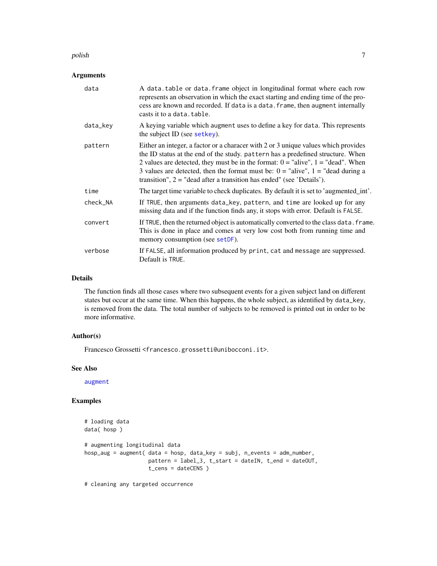#### <span id="page-6-0"></span>polish 7

# Arguments

| data     | A data table or data. frame object in longitudinal format where each row<br>represents an observation in which the exact starting and ending time of the pro-<br>cess are known and recorded. If data is a data. frame, then augment internally<br>casts it to a data. table.                                                                                                                                                   |
|----------|---------------------------------------------------------------------------------------------------------------------------------------------------------------------------------------------------------------------------------------------------------------------------------------------------------------------------------------------------------------------------------------------------------------------------------|
| data_key | A keying variable which augment uses to define a key for data. This represents<br>the subject ID (see setkey).                                                                                                                                                                                                                                                                                                                  |
| pattern  | Either an integer, a factor or a characer with 2 or 3 unique values which provides<br>the ID status at the end of the study. pattern has a predefined structure. When<br>2 values are detected, they must be in the format: $0 =$ "alive", $1 =$ "dead". When<br>3 values are detected, then the format must be: $0 =$ "alive", $1 =$ "dead during a<br>transition", $2 =$ "dead after a transition has ended" (see 'Details'). |
| time     | The target time variable to check duplicates. By default it is set to 'augmented_int'.                                                                                                                                                                                                                                                                                                                                          |
| check_NA | If TRUE, then arguments data_key, pattern, and time are looked up for any<br>missing data and if the function finds any, it stops with error. Default is FALSE.                                                                                                                                                                                                                                                                 |
| convert  | If TRUE, then the returned object is automatically converted to the class data. frame.<br>This is done in place and comes at very low cost both from running time and<br>memory consumption (see setDF).                                                                                                                                                                                                                        |
| verbose  | If FALSE, all information produced by print, cat and message are suppressed.<br>Default is TRUE.                                                                                                                                                                                                                                                                                                                                |

# Details

The function finds all those cases where two subsequent events for a given subject land on different states but occur at the same time. When this happens, the whole subject, as identified by data\_key, is removed from the data. The total number of subjects to be removed is printed out in order to be more informative.

#### Author(s)

Francesco Grossetti <francesco.grossetti@unibocconi.it>.

# See Also

[augment](#page-1-1)

# Examples

```
# loading data
data( hosp )
# augmenting longitudinal data
hosp_aug = augment( data = hosp, data_key = subj, n_events = adm_number,
                   pattern = label_3, t_start = dateIN, t_end = dateOUT,
                   t_cens = dateCENS )
```
# cleaning any targeted occurrence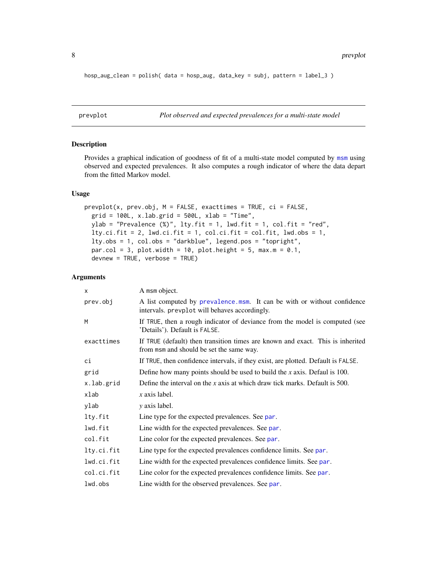8 prevplot the state of the state of the state of the state of the state of the state of the state of the state of the state of the state of the state of the state of the state of the state of the state of the state of the

```
hosp_aug_clean = polish( data = hosp_aug, data_key = subj, pattern = label_3 )
```
prevplot *Plot observed and expected prevalences for a multi-state model*

# Description

Provides a graphical indication of goodness of fit of a multi-state model computed by [msm](#page-0-0) using observed and expected prevalences. It also computes a rough indicator of where the data depart from the fitted Markov model.

#### Usage

```
prevplot(x, prev.obj, M = FALSE, exacttimes = TRUE, ci = FALSE,
  grid = 100L, x.lab.grid = 500L, xlab = "Time",
 ylab = "Prevalence (\%)", lty.fit = 1, lwd.fit = 1, col.fit = "red",
  lty.ci.fit = 2, lwd.ci.fit = 1, col.ci.fit = col.fit, lwd.obs = 1,
  lty.obs = 1, col.obs = "darkblue", legend.pos = "topright",
 par.col = 3, plot.width = 10, plot.height = 5, max.m = 0.1,
  devnew = TRUE, verbose = TRUE)
```
# Arguments

| $\times$   | A msm object.                                                                                                              |
|------------|----------------------------------------------------------------------------------------------------------------------------|
| prev.obj   | A list computed by prevalence.msm. It can be with or without confidence<br>intervals. prevplot will behaves accordingly.   |
| M          | If TRUE, then a rough indicator of deviance from the model is computed (see<br>'Details'). Default is FALSE.               |
| exacttimes | If TRUE (default) then transition times are known and exact. This is inherited<br>from msm and should be set the same way. |
| сi         | If TRUE, then confidence intervals, if they exist, are plotted. Default is FALSE.                                          |
| grid       | Define how many points should be used to build the $x$ axis. Defaul is 100.                                                |
| x.lab.grid | Define the interval on the x axis at which draw tick marks. Default is 500.                                                |
| xlab       | $x$ axis label.                                                                                                            |
| ylab       | y axis label.                                                                                                              |
| lty.fit    | Line type for the expected prevalences. See par.                                                                           |
| lwd.fit    | Line width for the expected prevalences. See par.                                                                          |
| col.fit    | Line color for the expected prevalences. See par.                                                                          |
| lty.ci.fit | Line type for the expected prevalences confidence limits. See par.                                                         |
| lwd.ci.fit | Line width for the expected prevalences confidence limits. See par.                                                        |
| col.ci.fit | Line color for the expected prevalences confidence limits. See par.                                                        |
| lwd.obs    | Line width for the observed prevalences. See par.                                                                          |

<span id="page-7-0"></span>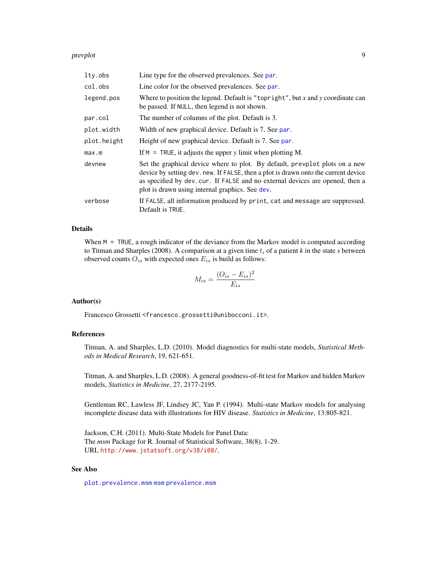#### <span id="page-8-0"></span>prevplot the contract of the contract of the contract of the contract of the contract of the contract of the contract of the contract of the contract of the contract of the contract of the contract of the contract of the c

| lty.obs     | Line type for the observed prevalences. See par.                                                                                                                                                                                                                                                      |
|-------------|-------------------------------------------------------------------------------------------------------------------------------------------------------------------------------------------------------------------------------------------------------------------------------------------------------|
| col.obs     | Line color for the observed prevalences. See par.                                                                                                                                                                                                                                                     |
| legend.pos  | Where to position the legend. Default is "top right", but x and y coordinate can<br>be passed. If NULL, then legend is not shown.                                                                                                                                                                     |
| par.col     | The number of columns of the plot. Default is 3.                                                                                                                                                                                                                                                      |
| plot.width  | Width of new graphical device. Default is 7. See par.                                                                                                                                                                                                                                                 |
| plot.height | Height of new graphical device. Default is 7. See par.                                                                                                                                                                                                                                                |
| max.m       | If $M = TRUE$ , it adjusts the upper y limit when plotting M.                                                                                                                                                                                                                                         |
| devnew      | Set the graphical device where to plot. By default, prevplot plots on a new<br>device by setting dev. new. If FALSE, then a plot is drawn onto the current device<br>as specified by dev. cur. If FALSE and no external devices are opened, then a<br>plot is drawn using internal graphics. See dev. |
| verbose     | If FALSE, all information produced by print, cat and message are suppressed.<br>Default is TRUE.                                                                                                                                                                                                      |

# Details

When  $M = TRUE$ , a rough indicator of the deviance from the Markov model is computed according to Titman and Sharples (2008). A comparison at a given time  $t_i$  of a patient  $k$  in the state  $s$  between observed counts  $O_{is}$  with expected ones  $E_{is}$  is build as follows:

$$
M_{is} = \frac{(O_{is} - E_{is})^2}{E_{is}}
$$

#### Author(s)

Francesco Grossetti <francesco.grossetti@unibocconi.it>.

# References

Titman, A. and Sharples, L.D. (2010). Model diagnostics for multi-state models, *Statistical Methods in Medical Research*, 19, 621-651.

Titman, A. and Sharples, L.D. (2008). A general goodness-of-fit test for Markov and hidden Markov models, *Statistics in Medicine*, 27, 2177-2195.

Gentleman RC, Lawless JF, Lindsey JC, Yan P. (1994). Multi-state Markov models for analysing incomplete disease data with illustrations for HIV disease. *Statistics in Medicine*, 13:805-821.

Jackson, C.H. (2011). Multi-State Models for Panel Data: The *msm* Package for R. Journal of Statistical Software, 38(8), 1-29. URL <http://www.jstatsoft.org/v38/i08/>.

# See Also

[plot.prevalence.msm](#page-0-0) [msm](#page-0-0) [prevalence.msm](#page-0-0)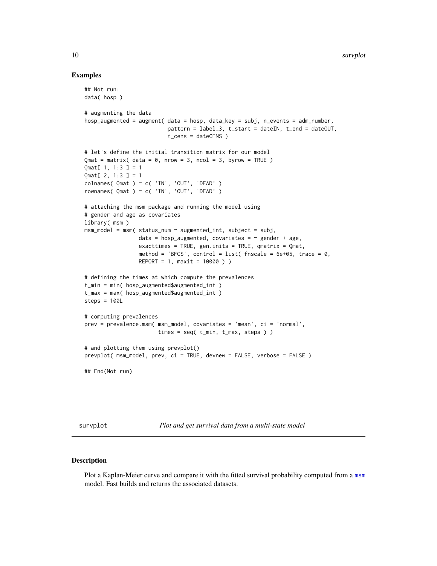#### Examples

```
## Not run:
data( hosp )
# augmenting the data
hosp_augmented = augment( data = hosp, data_key = subj, n_events = adm_number,
                          pattern = label_3, t_start = dateIN, t_end = dateOUT,
                          t_cens = dateCENS )
# let's define the initial transition matrix for our model
Qmat = matrix( data = 0, nrow = 3, ncol = 3, byrow = TRUE )
Qmat[ 1, 1:3 ] = 1
0mat[ 2, 1:3 ] = 1
colnames( Qmat ) = c('IN', 'OUT', 'DEAD')rownames(Qmat) = c('IN', 'OUT', 'DEAD')
# attaching the msm package and running the model using
# gender and age as covariates
library( msm )
msm_model = msm( status_name \sim augmented_info, subject = subj,data = hosp_augmented, covariates = \sim gender + age,
                 exacttimes = TRUE, gen.inits = TRUE, qmatrix = Qmat,
                 method = 'BFGS', control = list( fnscale = 6e+05, trace = 0,
                 REPORT = 1, maxit = 10000 ) )
# defining the times at which compute the prevalences
t_{min} = min( hosp_augmented$augmented_int )t_{max} = max( hosp_augmented$augmented_int )
steps = 100L
# computing prevalences
prev = prevalence.msm( msm_model, covariates = 'mean', ci = 'normal',
                       times = seq( t_min, t_max, steps ) )
# and plotting them using prevplot()
prevplot( msm_model, prev, ci = TRUE, devnew = FALSE, verbose = FALSE )
## End(Not run)
```
survplot *Plot and get survival data from a multi-state model*

# Description

Plot a Kaplan-Meier curve and compare it with the fitted survival probability computed from a [msm](#page-0-0) model. Fast builds and returns the associated datasets.

<span id="page-9-0"></span>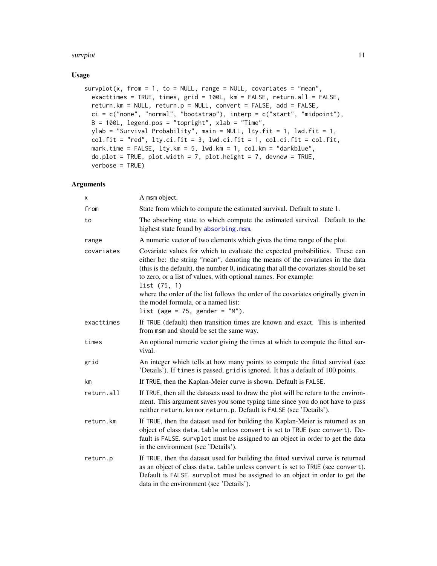#### <span id="page-10-0"></span>survplot that the same survey of the same survey of the same survey of the same survey of the same survey of the same survey of the same survey of the same survey of the same survey of the same survey of the same survey of

# Usage

```
survplot(x, from = 1, to = NULL, range = NULL, covariates = "mean",exacttimes = TRUE, times, grid = 100L, km = FALSE, return.all = FALSE,
  return.km = NULL, return.p = NULL, convert = FALSE, add = FALSE,
 ci = c("none", "normal", "bootstrap"), interp = c("start", "midpoint"),B = 100L, legend.pos = "topright", xlab = "Time",
 ylab = "Survival Probability", main = NULL, lty.fit = 1, lwd.fit = 1,
  col.fit = "red", lty.ci.fit = 3, lwd.ci.fit = 1, col.ci.fit = col.fit,mark.time = FALSE, lty.km = 5, lwd.km = 1, col.km = "darkblue",
 do.plot = TRUE, plot.width = 7, plot.height = 7, devnew = TRUE,
  verbose = TRUE)
```
# Arguments

| x          | A msm object.                                                                                                                                                                                                                                                                                                                                                                                                                                                                                                 |
|------------|---------------------------------------------------------------------------------------------------------------------------------------------------------------------------------------------------------------------------------------------------------------------------------------------------------------------------------------------------------------------------------------------------------------------------------------------------------------------------------------------------------------|
| from       | State from which to compute the estimated survival. Default to state 1.                                                                                                                                                                                                                                                                                                                                                                                                                                       |
| to         | The absorbing state to which compute the estimated survival. Default to the<br>highest state found by absorbing.msm.                                                                                                                                                                                                                                                                                                                                                                                          |
| range      | A numeric vector of two elements which gives the time range of the plot.                                                                                                                                                                                                                                                                                                                                                                                                                                      |
| covariates | Covariate values for which to evaluate the expected probabilities. These can<br>either be: the string "mean", denoting the means of the covariates in the data<br>(this is the default), the number 0, indicating that all the covariates should be set<br>to zero, or a list of values, with optional names. For example:<br>list (75, 1)<br>where the order of the list follows the order of the covariates originally given in<br>the model formula, or a named list:<br>list (age = $75$ , gender = "M"). |
| exacttimes | If TRUE (default) then transition times are known and exact. This is inherited<br>from msm and should be set the same way.                                                                                                                                                                                                                                                                                                                                                                                    |
| times      | An optional numeric vector giving the times at which to compute the fitted sur-<br>vival.                                                                                                                                                                                                                                                                                                                                                                                                                     |
| grid       | An integer which tells at how many points to compute the fitted survival (see<br>'Details'). If times is passed, grid is ignored. It has a default of 100 points.                                                                                                                                                                                                                                                                                                                                             |
| km         | If TRUE, then the Kaplan-Meier curve is shown. Default is FALSE.                                                                                                                                                                                                                                                                                                                                                                                                                                              |
| return.all | If TRUE, then all the datasets used to draw the plot will be return to the environ-<br>ment. This argument saves you some typing time since you do not have to pass<br>neither return. km nor return. p. Default is FALSE (see 'Details').                                                                                                                                                                                                                                                                    |
| return.km  | If TRUE, then the dataset used for building the Kaplan-Meier is returned as an<br>object of class data. table unless convert is set to TRUE (see convert). De-<br>fault is FALSE. survplot must be assigned to an object in order to get the data<br>in the environment (see 'Details').                                                                                                                                                                                                                      |
| return.p   | If TRUE, then the dataset used for building the fitted survival curve is returned<br>as an object of class data. table unless convert is set to TRUE (see convert).<br>Default is FALSE. survplot must be assigned to an object in order to get the<br>data in the environment (see 'Details').                                                                                                                                                                                                               |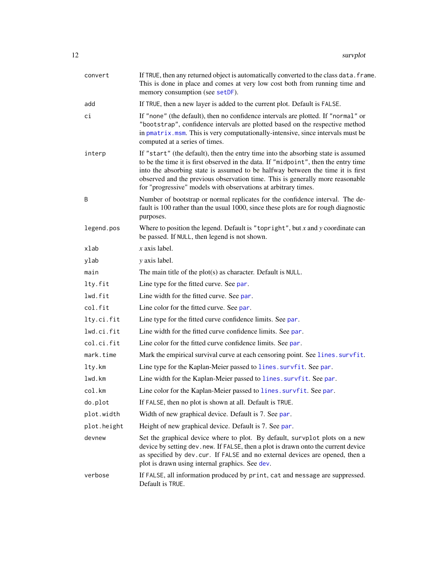<span id="page-11-0"></span>

| convert     | If TRUE, then any returned object is automatically converted to the class data. frame.<br>This is done in place and comes at very low cost both from running time and<br>memory consumption (see setDF).                                                                                                                                                                                                      |
|-------------|---------------------------------------------------------------------------------------------------------------------------------------------------------------------------------------------------------------------------------------------------------------------------------------------------------------------------------------------------------------------------------------------------------------|
| add         | If TRUE, then a new layer is added to the current plot. Default is FALSE.                                                                                                                                                                                                                                                                                                                                     |
| сi          | If "none" (the default), then no confidence intervals are plotted. If "normal" or<br>"bootstrap", confidence intervals are plotted based on the respective method<br>in pmatrix.msm. This is very computationally-intensive, since intervals must be<br>computed at a series of times.                                                                                                                        |
| interp      | If "start" (the default), then the entry time into the absorbing state is assumed<br>to be the time it is first observed in the data. If "midpoint", then the entry time<br>into the absorbing state is assumed to be halfway between the time it is first<br>observed and the previous observation time. This is generally more reasonable<br>for "progressive" models with observations at arbitrary times. |
| B           | Number of bootstrap or normal replicates for the confidence interval. The de-<br>fault is 100 rather than the usual 1000, since these plots are for rough diagnostic<br>purposes.                                                                                                                                                                                                                             |
| legend.pos  | Where to position the legend. Default is "topright", but $x$ and $y$ coordinate can<br>be passed. If NULL, then legend is not shown.                                                                                                                                                                                                                                                                          |
| xlab        | $x$ axis label.                                                                                                                                                                                                                                                                                                                                                                                               |
| ylab        | y axis label.                                                                                                                                                                                                                                                                                                                                                                                                 |
| main        | The main title of the plot(s) as character. Default is NULL.                                                                                                                                                                                                                                                                                                                                                  |
| lty.fit     | Line type for the fitted curve. See par.                                                                                                                                                                                                                                                                                                                                                                      |
| lwd.fit     | Line width for the fitted curve. See par.                                                                                                                                                                                                                                                                                                                                                                     |
| col.fit     | Line color for the fitted curve. See par.                                                                                                                                                                                                                                                                                                                                                                     |
| lty.ci.fit  | Line type for the fitted curve confidence limits. See par.                                                                                                                                                                                                                                                                                                                                                    |
| lwd.ci.fit  | Line width for the fitted curve confidence limits. See par.                                                                                                                                                                                                                                                                                                                                                   |
| col.ci.fit  | Line color for the fitted curve confidence limits. See par.                                                                                                                                                                                                                                                                                                                                                   |
| mark.time   | Mark the empirical survival curve at each censoring point. See lines. survfit.                                                                                                                                                                                                                                                                                                                                |
| lty.km      | Line type for the Kaplan-Meier passed to lines. survfit. See par.                                                                                                                                                                                                                                                                                                                                             |
| lwd.km      | Line width for the Kaplan-Meier passed to lines. survfit. See par.                                                                                                                                                                                                                                                                                                                                            |
| col.km      | Line color for the Kaplan-Meier passed to lines. survfit. See par.                                                                                                                                                                                                                                                                                                                                            |
| do.plot     | If FALSE, then no plot is shown at all. Default is TRUE.                                                                                                                                                                                                                                                                                                                                                      |
| plot.width  | Width of new graphical device. Default is 7. See par.                                                                                                                                                                                                                                                                                                                                                         |
| plot.height | Height of new graphical device. Default is 7. See par.                                                                                                                                                                                                                                                                                                                                                        |
| devnew      | Set the graphical device where to plot. By default, survplot plots on a new<br>device by setting dev. new. If FALSE, then a plot is drawn onto the current device<br>as specified by dev. cur. If FALSE and no external devices are opened, then a<br>plot is drawn using internal graphics. See dev.                                                                                                         |
| verbose     | If FALSE, all information produced by print, cat and message are suppressed.<br>Default is TRUE.                                                                                                                                                                                                                                                                                                              |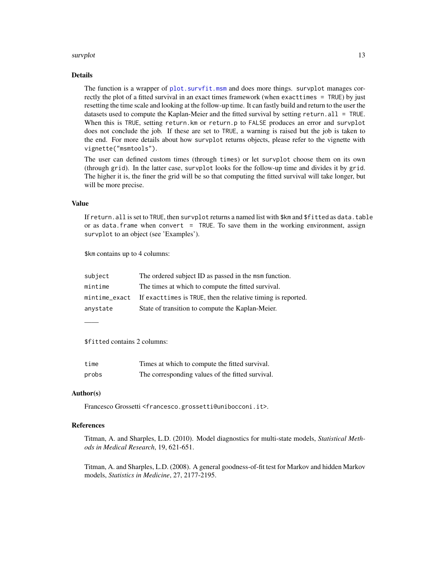#### <span id="page-12-0"></span>survplot that the same survey of the same state of the same state of the same state of the same state of the s

#### Details

The function is a wrapper of [plot.survfit.msm](#page-0-0) and does more things. survplot manages correctly the plot of a fitted survival in an exact times framework (when exacttimes = TRUE) by just resetting the time scale and looking at the follow-up time. It can fastly build and return to the user the datasets used to compute the Kaplan-Meier and the fitted survival by setting return.all = TRUE. When this is TRUE, setting return.km or return.p to FALSE produces an error and survplot does not conclude the job. If these are set to TRUE, a warning is raised but the job is taken to the end. For more details about how survplot returns objects, please refer to the vignette with vignette("msmtools").

The user can defined custom times (through times) or let survplot choose them on its own (through grid). In the latter case, survplot looks for the follow-up time and divides it by grid. The higher it is, the finer the grid will be so that computing the fitted survival will take longer, but will be more precise.

#### Value

If return.all is set to TRUE, then survplot returns a named list with \$km and \$fitted as data.table or as data. frame when convert = TRUE. To save them in the working environment, assign survplot to an object (see 'Examples').

\$km contains up to 4 columns:

| The ordered subject ID as passed in the msm function.         |
|---------------------------------------------------------------|
|                                                               |
| If exact times is TRUE, then the relative timing is reported. |
|                                                               |
|                                                               |

# \$fitted contains 2 columns:

| time  | Times at which to compute the fitted survival.   |
|-------|--------------------------------------------------|
| probs | The corresponding values of the fitted survival. |

# Author(s)

——

Francesco Grossetti <francesco.grossetti@unibocconi.it>.

# References

Titman, A. and Sharples, L.D. (2010). Model diagnostics for multi-state models, *Statistical Methods in Medical Research*, 19, 621-651.

Titman, A. and Sharples, L.D. (2008). A general goodness-of-fit test for Markov and hidden Markov models, *Statistics in Medicine*, 27, 2177-2195.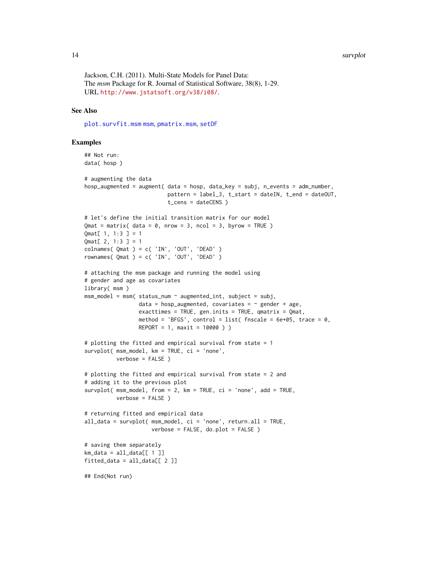#### 14 survplot

Jackson, C.H. (2011). Multi-State Models for Panel Data: The *msm* Package for R. Journal of Statistical Software, 38(8), 1-29. URL <http://www.jstatsoft.org/v38/i08/>.

# See Also

[plot.survfit.msm](#page-0-0) [msm](#page-0-0), [pmatrix.msm](#page-0-0), [setDF](#page-0-0)

#### Examples

```
## Not run:
data( hosp )
# augmenting the data
hosp_augmented = augment( data = hosp, data_key = subj, n_events = adm_number,
                          pattern = label_3, t_start = dateIN, t_end = dateOUT,
                          t cens = dateCENS )
# let's define the initial transition matrix for our model
Qmat = matrix( data = 0, nrow = 3, ncol = 3, byrow = TRUE )
Qmat[ 1, 1:3 ] = 1
Qmat[ 2, 1:3 ] = 1colnames( Qmat ) = c( 'IN', 'OUT', 'DEAD' )
rownames( Qmat ) = c( 'IN', 'OUT', 'DEAD' )
# attaching the msm package and running the model using
# gender and age as covariates
library( msm )
msm_model = msm( status_number ~augmented_info, subject = subj,data = hosp_augmented, covariates = \sim gender + age,
                 exacttimes = TRUE, gen.inits = TRUE, qmatrix = Qmat,
                 method = 'BFGS', control = list( fnscale = 6e+05, trace = 0,
                 REPORT = 1, maxit = 10000))
# plotting the fitted and empirical survival from state = 1
survplot( msm_model, km = TRUE, ci = 'none',
          verbose = FALSE )
# plotting the fitted and empirical survival from state = 2 and
# adding it to the previous plot
survplot(msm_model, from = 2, km = TRUE, ci = 'none', add = TRUE,
          verbose = FALSE )
# returning fitted and empirical data
all_data = survplot( msm_model, ci = 'none', return.all = TRUE,
                     verbose = FALSE, do.plot = FALSE )
# saving them separately
km\_data = all\_data[[ 1 ]]fitted_data = all_data [ 2 ]]
## End(Not run)
```
<span id="page-13-0"></span>